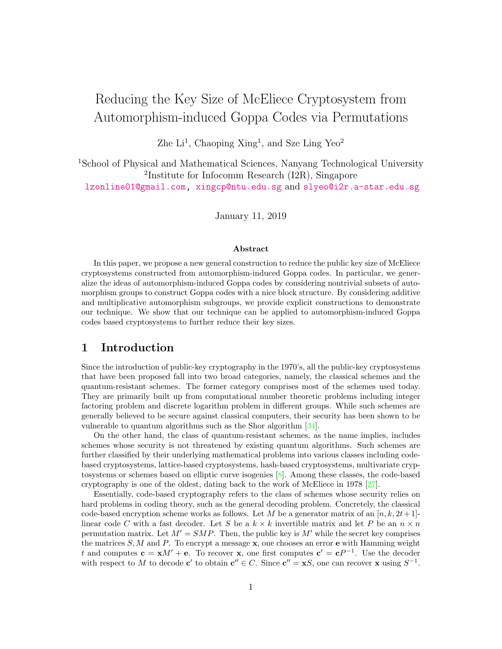# <span id="page-0-0"></span>Reducing the Key Size of McEliece Cryptosystem from Automorphism-induced Goppa Codes via Permutations

Zhe Li<sup>1</sup>, Chaoping Xing<sup>1</sup>, and Sze Ling Yeo<sup>2</sup>

<sup>1</sup>School of Physical and Mathematical Sciences, Nanyang Technological University 2 Institute for Infocomm Research (I2R), Singapore

[lzonline01@gmail.com,](mailto:lzonline01@gmail.com) [xingcp@ntu.edu.sg](mailto:xingcp@ntu.edu.sg) and [slyeo@i2r.a-star.edu.sg](mailto:slyeo@i2r.a-star.edu.sg)

January 11, 2019

#### Abstract

In this paper, we propose a new general construction to reduce the public key size of McEliece cryptosystems constructed from automorphism-induced Goppa codes. In particular, we generalize the ideas of automorphism-induced Goppa codes by considering nontrivial subsets of automorphism groups to construct Goppa codes with a nice block structure. By considering additive and multiplicative automorphism subgroups, we provide explicit constructions to demonstrate our technique. We show that our technique can be applied to automorphism-induced Goppa codes based cryptosystems to further reduce their key sizes.

## 1 Introduction

Since the introduction of public-key cryptography in the 1970's, all the public-key cryptosystems that have been proposed fall into two broad categories, namely, the classical schemes and the quantum-resistant schemes. The former category comprises most of the schemes used today. They are primarily built up from computational number theoretic problems including integer factoring problem and discrete logarithm problem in different groups. While such schemes are generally believed to be secure against classical computers, their security has been shown to be vulnerable to quantum algorithms such as the Shor algorithm [\[34\]](#page-14-0).

On the other hand, the class of quantum-resistant schemes, as the name implies, includes schemes whose security is not threatened by existing quantum algorithms. Such schemes are further classified by their underlying mathematical problems into various classes including codebased cryptosystems, lattice-based cryptosystems, hash-based cryptosystems, multivariate cryptosystems or schemes based on elliptic curve isogenies [\[8\]](#page-13-0). Among these classes, the code-based cryptography is one of the oldest, dating back to the work of McEliece in 1978 [\[27\]](#page-14-1).

Essentially, code-based cryptography refers to the class of schemes whose security relies on hard problems in coding theory, such as the general decoding problem. Concretely, the classical code-based encryption scheme works as follows. Let M be a generator matrix of an  $[n, k, 2t+1]$ linear code C with a fast decoder. Let S be a  $k \times k$  invertible matrix and let P be an  $n \times n$ permutation matrix. Let  $M' = SMP$ . Then, the public key is M' while the secret key comprises the matrices  $S, M$  and P. To encrypt a message  $x$ , one chooses an error  $e$  with Hamming weight t and computes  $\mathbf{c} = \mathbf{x}M' + \mathbf{e}$ . To recover **x**, one first computes  $\mathbf{c}' = \mathbf{c}P^{-1}$ . Use the decoder with respect to M to decode  $c'$  to obtain  $c'' \in C$ . Since  $c'' = xS$ , one can recover x using  $S^{-1}$ .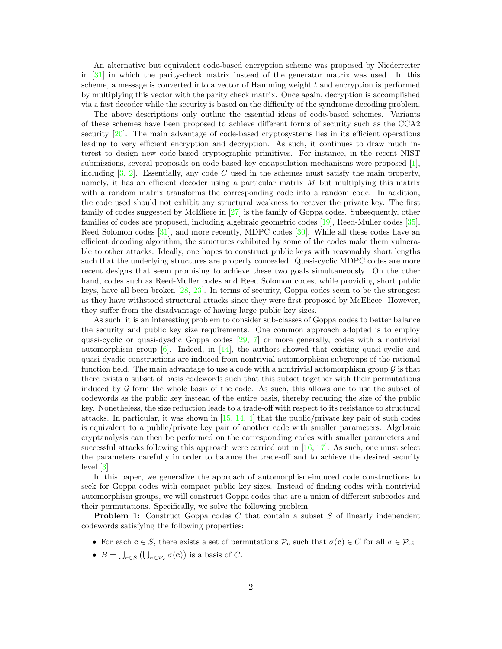<span id="page-1-0"></span>An alternative but equivalent code-based encryption scheme was proposed by Niederreiter in [\[31\]](#page-14-2) in which the parity-check matrix instead of the generator matrix was used. In this scheme, a message is converted into a vector of Hamming weight  $t$  and encryption is performed by multiplying this vector with the parity check matrix. Once again, decryption is accomplished via a fast decoder while the security is based on the difficulty of the syndrome decoding problem.

The above descriptions only outline the essential ideas of code-based schemes. Variants of these schemes have been proposed to achieve different forms of security such as the CCA2 security [\[20\]](#page-14-3). The main advantage of code-based cryptosystems lies in its efficient operations leading to very efficient encryption and decryption. As such, it continues to draw much interest to design new code-based cryptographic primitives. For instance, in the recent NIST submissions, several proposals on code-based key encapsulation mechanisms were proposed [\[1\]](#page-12-0), including  $[3, 2]$  $[3, 2]$ . Essentially, any code C used in the schemes must satisfy the main property, namely, it has an efficient decoder using a particular matrix  $M$  but multiplying this matrix with a random matrix transforms the corresponding code into a random code. In addition, the code used should not exhibit any structural weakness to recover the private key. The first family of codes suggested by McEliece in [\[27\]](#page-14-1) is the family of Goppa codes. Subsequently, other families of codes are proposed, including algebraic geometric codes [\[19\]](#page-14-4), Reed-Muller codes [\[35\]](#page-14-5), Reed Solomon codes [\[31\]](#page-14-2), and more recently, MDPC codes [\[30\]](#page-14-6). While all these codes have an efficient decoding algorithm, the structures exhibited by some of the codes make them vulnerable to other attacks. Ideally, one hopes to construct public keys with reasonably short lengths such that the underlying structures are properly concealed. Quasi-cyclic MDPC codes are more recent designs that seem promising to achieve these two goals simultaneously. On the other hand, codes such as Reed-Muller codes and Reed Solomon codes, while providing short public keys, have all been broken [\[28,](#page-14-7) [23\]](#page-14-8). In terms of security, Goppa codes seem to be the strongest as they have withstood structural attacks since they were first proposed by McEliece. However, they suffer from the disadvantage of having large public key sizes.

As such, it is an interesting problem to consider sub-classes of Goppa codes to better balance the security and public key size requirements. One common approach adopted is to employ quasi-cyclic or quasi-dyadic Goppa codes [\[29,](#page-14-9) [7\]](#page-13-2) or more generally, codes with a nontrivial automorphism group  $[6]$ . Indeed, in [\[14\]](#page-13-4), the authors showed that existing quasi-cyclic and quasi-dyadic constructions are induced from nontrivial automorphism subgroups of the rational function field. The main advantage to use a code with a nontrivial automorphism group  $\mathcal G$  is that there exists a subset of basis codewords such that this subset together with their permutations induced by  $G$  form the whole basis of the code. As such, this allows one to use the subset of codewords as the public key instead of the entire basis, thereby reducing the size of the public key. Nonetheless, the size reduction leads to a trade-off with respect to its resistance to structural attacks. In particular, it was shown in  $[15, 14, 4]$  $[15, 14, 4]$  $[15, 14, 4]$  $[15, 14, 4]$  that the public/private key pair of such codes is equivalent to a public/private key pair of another code with smaller parameters. Algebraic cryptanalysis can then be performed on the corresponding codes with smaller parameters and successful attacks following this approach were carried out in [\[16,](#page-13-7) [17\]](#page-13-8). As such, one must select the parameters carefully in order to balance the trade-off and to achieve the desired security level [\[3\]](#page-13-1).

In this paper, we generalize the approach of automorphism-induced code constructions to seek for Goppa codes with compact public key sizes. Instead of finding codes with nontrivial automorphism groups, we will construct Goppa codes that are a union of different subcodes and their permutations. Specifically, we solve the following problem.

**Problem 1:** Construct Goppa codes C that contain a subset S of linearly independent codewords satisfying the following properties:

- For each  $c \in S$ , there exists a set of permutations  $\mathcal{P}_{c}$  such that  $\sigma(c) \in C$  for all  $\sigma \in \mathcal{P}_{c}$ ;
- $B = \bigcup_{\mathbf{c} \in S} (\bigcup_{\sigma \in \mathcal{P}_{\mathbf{c}}} \sigma(\mathbf{c}))$  is a basis of C.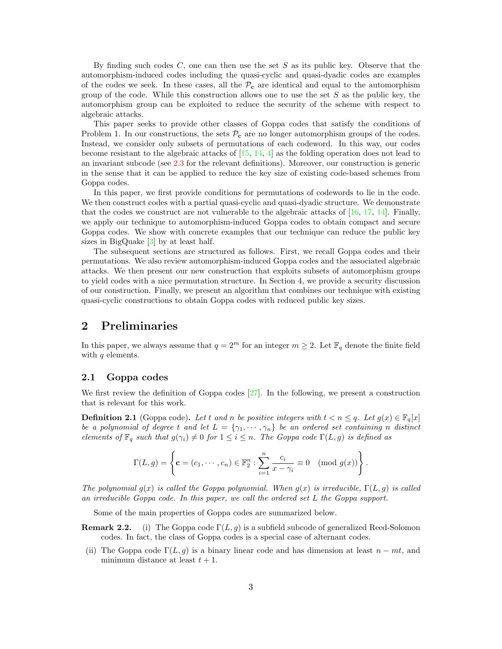<span id="page-2-0"></span>By finding such codes  $C$ , one can then use the set  $S$  as its public key. Observe that the automorphism-induced codes including the quasi-cyclic and quasi-dyadic codes are examples of the codes we seek. In these cases, all the  $P_c$  are identical and equal to the automorphism group of the code. While this construction allows one to use the set  $S$  as the public key, the automorphism group can be exploited to reduce the security of the scheme with respect to algebraic attacks.

This paper seeks to provide other classes of Goppa codes that satisfy the conditions of Problem 1. In our constructions, the sets  $\mathcal{P}_{c}$  are no longer automorphism groups of the codes. Instead, we consider only subsets of permutations of each codeword. In this way, our codes become resistant to the algebraic attacks of  $[15, 14, 4]$  $[15, 14, 4]$  $[15, 14, 4]$  $[15, 14, 4]$  as the folding operation does not lead to an invariant subcode (see [2.3](#page-5-0) for the relevant definitions). Moreover, our construction is generic in the sense that it can be applied to reduce the key size of existing code-based schemes from Goppa codes.

In this paper, we first provide conditions for permutations of codewords to lie in the code. We then construct codes with a partial quasi-cyclic and quasi-dyadic structure. We demonstrate that the codes we construct are not vulnerable to the algebraic attacks of [\[16,](#page-13-7) [17,](#page-13-8) [14\]](#page-13-4). Finally, we apply our technique to automorphism-induced Goppa codes to obtain compact and secure Goppa codes. We show with concrete examples that our technique can reduce the public key sizes in BigQuake [\[3\]](#page-13-1) by at least half.

The subsequent sections are structured as follows. First, we recall Goppa codes and their permutations. We also review automorphism-induced Goppa codes and the associated algebraic attacks. We then present our new construction that exploits subsets of automorphism groups to yield codes with a nice permutation structure. In Section 4, we provide a security discussion of our construction. Finally, we present an algorithm that combines our technique with existing quasi-cyclic constructions to obtain Goppa codes with reduced public key sizes.

# 2 Preliminaries

In this paper, we always assume that  $q = 2^m$  for an integer  $m \geq 2$ . Let  $\mathbb{F}_q$  denote the finite field with  $q$  elements.

### 2.1 Goppa codes

We first review the definition of Goppa codes [\[27\]](#page-14-1). In the following, we present a construction that is relevant for this work.

**Definition 2.1** (Goppa code). Let t and n be positive integers with  $t < n \leq q$ . Let  $g(x) \in \mathbb{F}_q[x]$ be a polynomial of degree t and let  $L = \{\gamma_1, \dots, \gamma_n\}$  be an ordered set containing n distinct elements of  $\mathbb{F}_q$  such that  $g(\gamma_i) \neq 0$  for  $1 \leq i \leq n$ . The Goppa code  $\Gamma(L, g)$  is defined as

$$
\Gamma(L,g) = \left\{ \mathbf{c} = (c_1, \cdots, c_n) \in \mathbb{F}_2^n : \sum_{i=1}^n \frac{c_i}{x - \gamma_i} \equiv 0 \pmod{g(x)} \right\}.
$$

The polynomial  $q(x)$  is called the Goppa polynomial. When  $q(x)$  is irreducible,  $\Gamma(L, q)$  is called an irreducible Goppa code. In this paper, we call the ordered set L the Goppa support.

Some of the main properties of Goppa codes are summarized below.

**Remark 2.2.** (i) The Goppa code  $\Gamma(L, g)$  is a subfield subcode of generalized Reed-Solomon codes. In fact, the class of Goppa codes is a special case of alternant codes.

(ii) The Goppa code  $\Gamma(L, g)$  is a binary linear code and has dimension at least  $n - mt$ , and minimum distance at least  $t + 1$ .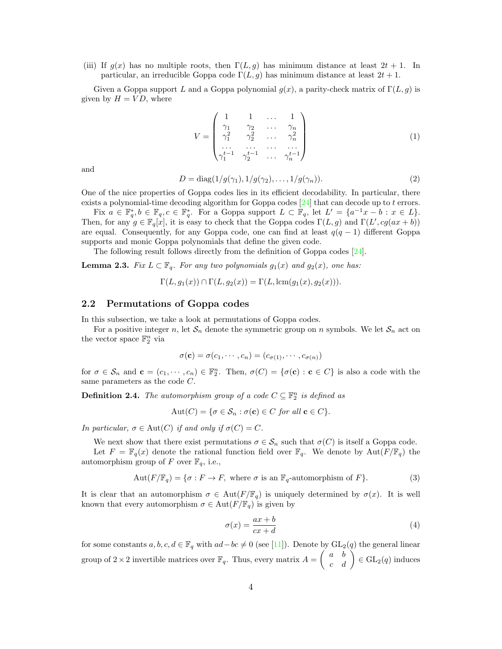<span id="page-3-4"></span>(iii) If  $g(x)$  has no multiple roots, then  $\Gamma(L, g)$  has minimum distance at least  $2t + 1$ . In particular, an irreducible Goppa code  $\Gamma(L, g)$  has minimum distance at least  $2t + 1$ .

Given a Goppa support L and a Goppa polynomial  $g(x)$ , a parity-check matrix of  $\Gamma(L, g)$  is given by  $H = V D$ , where

<span id="page-3-1"></span>
$$
V = \begin{pmatrix} 1 & 1 & \dots & 1 \\ \gamma_1 & \gamma_2 & \dots & \gamma_n \\ \gamma_1^2 & \gamma_2^2 & \dots & \gamma_n^2 \\ \dots & \dots & \dots & \dots \\ \gamma_1^{t-1} & \gamma_2^{t-1} & \dots & \gamma_n^{t-1} \end{pmatrix}
$$
 (1)

and

<span id="page-3-2"></span>
$$
D = diag(1/g(\gamma_1), 1/g(\gamma_2), \dots, 1/g(\gamma_n)).
$$
\n(2)

One of the nice properties of Goppa codes lies in its efficient decodability. In particular, there exists a polynomial-time decoding algorithm for Goppa codes [\[24\]](#page-14-10) that can decode up to t errors.

Fix  $a \in \mathbb{F}_q^*, b \in \mathbb{F}_q, c \in \mathbb{F}_q^*$ . For a Goppa support  $L \subset \mathbb{F}_q$ , let  $L' = \{a^{-1}x - b : x \in L\}$ . Then, for any  $g \in \mathbb{F}_q[x]$ , it is easy to check that the Goppa codes  $\Gamma(L, g)$  and  $\Gamma(L', cg(ax + b))$ are equal. Consequently, for any Goppa code, one can find at least  $q(q - 1)$  different Goppa supports and monic Goppa polynomials that define the given code.

The following result follows directly from the definition of Goppa codes [\[24\]](#page-14-10).

<span id="page-3-3"></span>**Lemma 2.3.** Fix  $L \subset \mathbb{F}_q$ . For any two polynomials  $g_1(x)$  and  $g_2(x)$ , one has:

$$
\Gamma(L, g_1(x)) \cap \Gamma(L, g_2(x)) = \Gamma(L, \operatorname{lcm}(g_1(x), g_2(x))).
$$

#### 2.2 Permutations of Goppa codes

In this subsection, we take a look at permutations of Goppa codes.

For a positive integer n, let  $S_n$  denote the symmetric group on n symbols. We let  $S_n$  act on the vector space  $\mathbb{F}_2^n$  via

$$
\sigma(\mathbf{c}) = \sigma(c_1, \cdots, c_n) = (c_{\sigma(1)}, \cdots, c_{\sigma(n)})
$$

for  $\sigma \in \mathcal{S}_n$  and  $\mathbf{c} = (c_1, \dots, c_n) \in \mathbb{F}_2^n$ . Then,  $\sigma(C) = {\sigma(\mathbf{c}) : \mathbf{c} \in C}$  is also a code with the same parameters as the code C.

**Definition 2.4.** The automorphism group of a code  $C \subseteq \mathbb{F}_2^n$  is defined as

$$
Aut(C) = \{ \sigma \in \mathcal{S}_n : \sigma(\mathbf{c}) \in C \text{ for all } \mathbf{c} \in C \}.
$$

In particular,  $\sigma \in \text{Aut}(C)$  if and only if  $\sigma(C) = C$ .

We next show that there exist permutations  $\sigma \in \mathcal{S}_n$  such that  $\sigma(C)$  is itself a Goppa code.

Let  $F = \mathbb{F}_q(x)$  denote the rational function field over  $\mathbb{F}_q$ . We denote by  $\text{Aut}(F/\mathbb{F}_q)$  the automorphism group of F over  $\mathbb{F}_q$ , i.e.,

$$
Aut(F/\mathbb{F}_q) = \{ \sigma : F \to F, \text{ where } \sigma \text{ is an } \mathbb{F}_q \text{-automorphism of } F \}. \tag{3}
$$

It is clear that an automorphism  $\sigma \in Aut(F/\mathbb{F}_q)$  is uniquely determined by  $\sigma(x)$ . It is well known that every automorphism  $\sigma \in \text{Aut}(F/\mathbb{F}_q)$  is given by

<span id="page-3-0"></span>
$$
\sigma(x) = \frac{ax+b}{cx+d} \tag{4}
$$

for some constants  $a, b, c, d \in \mathbb{F}_q$  with  $ad - bc \neq 0$  (see [\[11\]](#page-13-9)). Denote by  $GL_2(q)$  the general linear group of  $2 \times 2$  invertible matrices over  $\mathbb{F}_q$ . Thus, every matrix  $A = \begin{pmatrix} a & b \\ c & d \end{pmatrix} \in GL_2(q)$  induces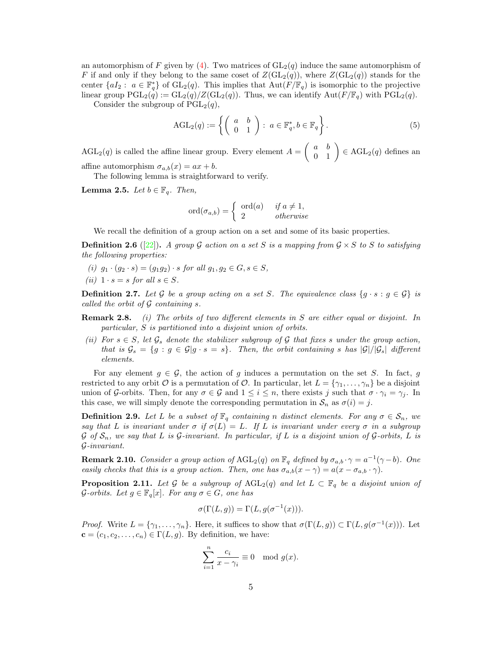<span id="page-4-2"></span>an automorphism of F given by [\(4\)](#page-3-0). Two matrices of  $GL_2(q)$  induce the same automorphism of F if and only if they belong to the same coset of  $Z(\text{GL}_2(q))$ , where  $Z(\text{GL}_2(q))$  stands for the center  ${aI_2: a \in \mathbb{F}_q^*}$  of  $GL_2(q)$ . This implies that  $Aut(F/\mathbb{F}_q)$  is isomorphic to the projective linear group  $PGL_2(q) := GL_2(q)/Z(GL_2(q))$ . Thus, we can identify  $Aut(F/\mathbb{F}_q)$  with  $PGL_2(q)$ .

Consider the subgroup of  $PGL<sub>2</sub>(q)$ ,

$$
\text{AGL}_2(q) := \left\{ \left( \begin{array}{cc} a & b \\ 0 & 1 \end{array} \right) : \ a \in \mathbb{F}_q^*, b \in \mathbb{F}_q \right\}. \tag{5}
$$

 $\text{AGL}_2(q)$  is called the affine linear group. Every element  $A = \begin{pmatrix} a & b \\ 0 & 1 \end{pmatrix} \in \text{AGL}_2(q)$  defines an affine automorphism  $\sigma_{a,b}(x) = ax + b$ .

The following lemma is straightforward to verify.

**Lemma 2.5.** Let  $b \in \mathbb{F}_q$ . Then,

$$
ord(\sigma_{a,b}) = \begin{cases} ord(a) & if a \neq 1, \\ 2 & otherwise \end{cases}
$$

We recall the definition of a group action on a set and some of its basic properties.

**Definition 2.6** ([\[22\]](#page-14-11)). A group G action on a set S is a mapping from  $G \times S$  to S to satisfying the following properties:

- (i)  $g_1 \cdot (g_2 \cdot s) = (g_1 g_2) \cdot s$  for all  $g_1, g_2 \in G, s \in S$ ,
- (ii)  $1 \cdot s = s$  for all  $s \in S$ .

**Definition 2.7.** Let G be a group acting on a set S. The equivalence class  $\{g \cdot s : g \in \mathcal{G}\}\$  is called the orbit of  $\mathcal G$  containing s.

Remark 2.8. (i) The orbits of two different elements in S are either equal or disjoint. In particular, S is partitioned into a disjoint union of orbits.

(ii) For  $s \in S$ , let  $\mathcal{G}_s$  denote the stabilizer subgroup of G that fixes s under the group action, that is  $\mathcal{G}_s = \{g : g \in \mathcal{G} | g \cdot s = s\}.$  Then, the orbit containing s has  $|\mathcal{G}|/|\mathcal{G}_s|$  different elements.

For any element  $g \in \mathcal{G}$ , the action of g induces a permutation on the set S. In fact, g restricted to any orbit  $\mathcal O$  is a permutation of  $\mathcal O$ . In particular, let  $L = \{ \gamma_1, \ldots, \gamma_n \}$  be a disjoint union of G-orbits. Then, for any  $\sigma \in \mathcal{G}$  and  $1 \leq i \leq n$ , there exists j such that  $\sigma \cdot \gamma_i = \gamma_j$ . In this case, we will simply denote the corresponding permutation in  $S_n$  as  $\sigma(i) = j$ .

**Definition 2.9.** Let L be a subset of  $\mathbb{F}_q$  containing n distinct elements. For any  $\sigma \in \mathcal{S}_n$ , we say that L is invariant under  $\sigma$  if  $\sigma(L) = L$ . If L is invariant under every  $\sigma$  in a subgroup  $\mathcal G$  of  $\mathcal S_n$ , we say that L is  $\mathcal G$ -invariant. In particular, if L is a disjoint union of  $\mathcal G$ -orbits, L is G-invariant.

<span id="page-4-0"></span>**Remark 2.10.** Consider a group action of  $\text{AGL}_2(q)$  on  $\mathbb{F}_q$  defined by  $\sigma_{a,b} \cdot \gamma = a^{-1}(\gamma - b)$ . One easily checks that this is a group action. Then, one has  $\sigma_{a,b}(x-\gamma) = a(x - \sigma_{a,b} \cdot \gamma)$ .

<span id="page-4-1"></span>**Proposition 2.11.** Let G be a subgroup of  $\text{AGL}_2(q)$  and let  $L \subset \mathbb{F}_q$  be a disjoint union of *G*-orbits. Let  $g \in \mathbb{F}_q[x]$ . For any  $\sigma \in G$ , one has

$$
\sigma(\Gamma(L, g)) = \Gamma(L, g(\sigma^{-1}(x))).
$$

*Proof.* Write  $L = \{\gamma_1, \ldots, \gamma_n\}$ . Here, it suffices to show that  $\sigma(\Gamma(L, g)) \subset \Gamma(L, g(\sigma^{-1}(x)))$ . Let  ${\bf c} = (c_1, c_2, \ldots, c_n) \in \Gamma(L, g)$ . By definition, we have:

$$
\sum_{i=1}^{n} \frac{c_i}{x - \gamma_i} \equiv 0 \mod g(x).
$$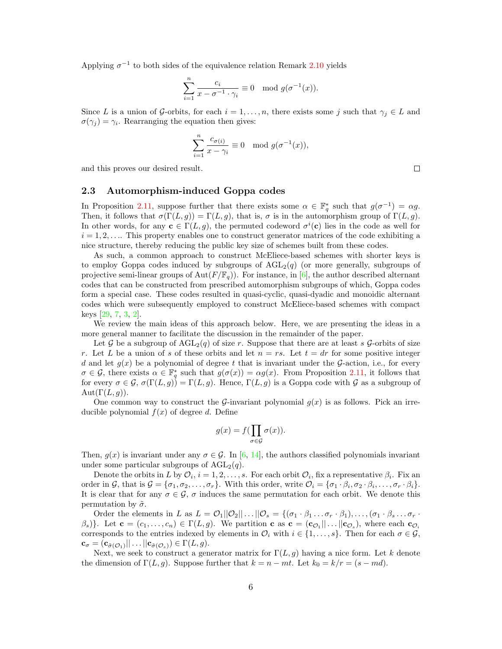<span id="page-5-1"></span>Applying  $\sigma^{-1}$  to both sides of the equivalence relation Remark [2.10](#page-4-0) yields

$$
\sum_{i=1}^{n} \frac{c_i}{x - \sigma^{-1} \cdot \gamma_i} \equiv 0 \mod g(\sigma^{-1}(x)).
$$

Since L is a union of G-orbits, for each  $i = 1, \ldots, n$ , there exists some j such that  $\gamma_i \in L$  and  $\sigma(\gamma_j) = \gamma_i$ . Rearranging the equation then gives:

$$
\sum_{i=1}^{n} \frac{c_{\sigma(i)}}{x - \gamma_i} \equiv 0 \mod g(\sigma^{-1}(x)),
$$

and this proves our desired result.

#### $\Box$

#### <span id="page-5-0"></span>2.3 Automorphism-induced Goppa codes

In Proposition [2.11,](#page-4-1) suppose further that there exists some  $\alpha \in \mathbb{F}_q^*$  such that  $g(\sigma^{-1}) = \alpha g$ . Then, it follows that  $\sigma(\Gamma(L, g)) = \Gamma(L, g)$ , that is,  $\sigma$  is in the automorphism group of  $\Gamma(L, g)$ . In other words, for any  $\mathbf{c} \in \Gamma(L, g)$ , the permuted codeword  $\sigma^i(\mathbf{c})$  lies in the code as well for  $i = 1, 2, \ldots$  This property enables one to construct generator matrices of the code exhibiting a nice structure, thereby reducing the public key size of schemes built from these codes.

As such, a common approach to construct McEliece-based schemes with shorter keys is to employ Goppa codes induced by subgroups of  $\text{AGL}_2(q)$  (or more generally, subgroups of projective semi-linear groups of  $Aut(F/\mathbb{F}_q)$ . For instance, in [\[6\]](#page-13-3), the author described alternant codes that can be constructed from prescribed automorphism subgroups of which, Goppa codes form a special case. These codes resulted in quasi-cyclic, quasi-dyadic and monoidic alternant codes which were subsequently employed to construct McEliece-based schemes with compact keys [\[29,](#page-14-9) [7,](#page-13-2) [3,](#page-13-1) [2\]](#page-12-1).

We review the main ideas of this approach below. Here, we are presenting the ideas in a more general manner to facilitate the discussion in the remainder of the paper.

Let G be a subgroup of  $\text{AGL}_2(q)$  of size r. Suppose that there are at least s G-orbits of size r. Let L be a union of s of these orbits and let  $n = rs$ . Let  $t = dr$  for some positive integer d and let  $g(x)$  be a polynomial of degree t that is invariant under the G-action, i.e., for every  $\sigma \in \mathcal{G}$ , there exists  $\alpha \in \mathbb{F}_q^*$  such that  $g(\sigma(x)) = \alpha g(x)$ . From Proposition [2.11,](#page-4-1) it follows that for every  $\sigma \in \mathcal{G}$ ,  $\sigma(\Gamma(L,g)) = \Gamma(L,g)$ . Hence,  $\Gamma(L,g)$  is a Goppa code with G as a subgroup of Aut $(\Gamma(L, g))$ .

One common way to construct the G-invariant polynomial  $q(x)$  is as follows. Pick an irreducible polynomial  $f(x)$  of degree d. Define

$$
g(x) = f\left(\prod_{\sigma \in \mathcal{G}} \sigma(x)\right).
$$

Then,  $g(x)$  is invariant under any  $\sigma \in \mathcal{G}$ . In [\[6,](#page-13-3) [14\]](#page-13-4), the authors classified polynomials invariant under some particular subgroups of  $\text{AGL}_2(q)$ .

Denote the orbits in L by  $\mathcal{O}_i$ ,  $i = 1, 2, ..., s$ . For each orbit  $\mathcal{O}_i$ , fix a representative  $\beta_i$ . Fix an order in G, that is  $\mathcal{G} = {\sigma_1, \sigma_2, \ldots, \sigma_r}$ . With this order, write  $\mathcal{O}_i = {\sigma_1 \cdot \beta_i, \sigma_2 \cdot \beta_i, \ldots, \sigma_r \cdot \beta_i}$ . It is clear that for any  $\sigma \in \mathcal{G}$ ,  $\sigma$  induces the same permutation for each orbit. We denote this permutation by  $\tilde{\sigma}$ .

Order the elements in L as  $L = \mathcal{O}_1||\mathcal{O}_2||\dots||\mathcal{O}_s = \{(\sigma_1 \cdot \beta_1 \dots \sigma_r \cdot \beta_1), \dots, (\sigma_1 \cdot \beta_s \dots \sigma_r \cdot \beta_r)\}$  $(\beta_s)$ . Let  $\mathbf{c} = (c_1, \ldots, c_n) \in \Gamma(L, g)$ . We partition  $\mathbf{c}$  as  $\mathbf{c} = (\mathbf{c}_{\mathcal{O}_1} || \ldots || \mathbf{c}_{\mathcal{O}_s}),$  where each  $\mathbf{c}_{\mathcal{O}_i}$ corresponds to the entries indexed by elements in  $\mathcal{O}_i$  with  $i \in \{1, \ldots, s\}$ . Then for each  $\sigma \in \mathcal{G}$ ,  $\mathbf{c}_{\sigma} = (\mathbf{c}_{\tilde{\sigma}(\mathcal{O}_1)} || \dots || \mathbf{c}_{\tilde{\sigma}(\mathcal{O}_s)}) \in \Gamma(L, g).$ 

Next, we seek to construct a generator matrix for  $\Gamma(L,g)$  having a nice form. Let k denote the dimension of  $\Gamma(L, g)$ . Suppose further that  $k = n - mt$ . Let  $k_0 = k/r = (s - md)$ .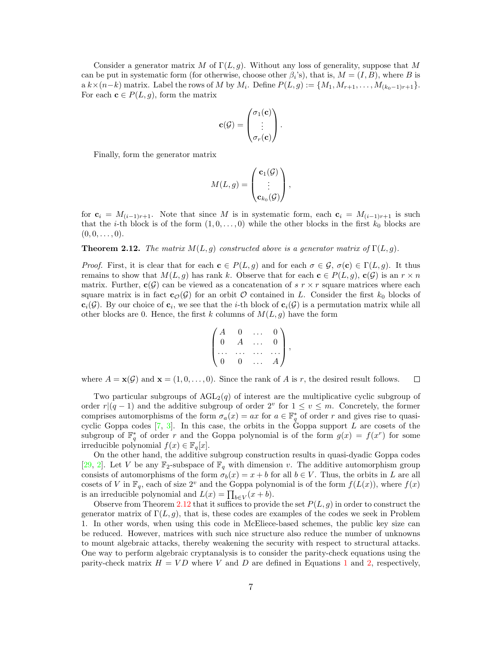<span id="page-6-1"></span>Consider a generator matrix M of  $\Gamma(L, g)$ . Without any loss of generality, suppose that M can be put in systematic form (for otherwise, choose other  $\beta_i$ 's), that is,  $M = (I, B)$ , where B is  $a k \times (n-k)$  matrix. Label the rows of M by  $M_i$ . Define  $P(L,g) := \{M_1, M_{r+1}, \ldots, M_{(k_0-1)r+1}\}.$ For each  $\mathbf{c} \in P(L, g)$ , form the matrix

$$
\mathbf{c}(\mathcal{G}) = \begin{pmatrix} \sigma_1(\mathbf{c}) \\ \vdots \\ \sigma_r(\mathbf{c}) \end{pmatrix}.
$$

Finally, form the generator matrix

$$
M(L,g) = \begin{pmatrix} \mathbf{c}_1(\mathcal{G}) \\ \vdots \\ \mathbf{c}_{k_0}(\mathcal{G}) \end{pmatrix},
$$

for  $\mathbf{c}_i = M_{(i-1)r+1}$ . Note that since M is in systematic form, each  $\mathbf{c}_i = M_{(i-1)r+1}$  is such that the *i*-th block is of the form  $(1, 0, \ldots, 0)$  while the other blocks in the first  $k_0$  blocks are  $(0, 0, \ldots, 0).$ 

<span id="page-6-0"></span>**Theorem 2.12.** The matrix  $M(L, q)$  constructed above is a generator matrix of  $\Gamma(L, q)$ .

*Proof.* First, it is clear that for each  $c \in P(L, g)$  and for each  $\sigma \in \mathcal{G}$ ,  $\sigma(c) \in \Gamma(L, g)$ . It thus remains to show that  $M(L, g)$  has rank k. Observe that for each  $\mathbf{c} \in P(L, g)$ ,  $\mathbf{c}(\mathcal{G})$  is an  $r \times n$ matrix. Further,  $c(G)$  can be viewed as a concatenation of s  $r \times r$  square matrices where each square matrix is in fact  $\mathbf{c}_\mathcal{O}(\mathcal{G})$  for an orbit  $\mathcal O$  contained in L. Consider the first  $k_0$  blocks of  $\mathbf{c}_i(\mathcal{G})$ . By our choice of  $\mathbf{c}_i$ , we see that the *i*-th block of  $\mathbf{c}_i(\mathcal{G})$  is a permutation matrix while all other blocks are 0. Hence, the first k columns of  $M(L, g)$  have the form

$$
\begin{pmatrix}\nA & 0 & \dots & 0 \\
0 & A & \dots & 0 \\
\vdots & \vdots & \vdots & \ddots & \vdots \\
0 & 0 & \dots & A\n\end{pmatrix},
$$

where  $A = \mathbf{x}(\mathcal{G})$  and  $\mathbf{x} = (1, 0, \dots, 0)$ . Since the rank of A is r, the desired result follows.  $\Box$ 

Two particular subgroups of  $AGL_2(q)$  of interest are the multiplicative cyclic subgroup of order  $r|(q-1)$  and the additive subgroup of order  $2^v$  for  $1 \le v \le m$ . Concretely, the former comprises automorphisms of the form  $\sigma_a(x) = ax$  for  $a \in \mathbb{F}_q^*$  of order r and gives rise to quasicyclic Goppa codes  $[7, 3]$  $[7, 3]$ . In this case, the orbits in the Goppa support L are cosets of the subgroup of  $\mathbb{F}_q^*$  of order r and the Goppa polynomial is of the form  $g(x) = f(x^r)$  for some irreducible polynomial  $f(x) \in \mathbb{F}_q[x]$ .

On the other hand, the additive subgroup construction results in quasi-dyadic Goppa codes [\[29,](#page-14-9) [2\]](#page-12-1). Let V be any  $\mathbb{F}_2$ -subspace of  $\mathbb{F}_q$  with dimension v. The additive automorphism group consists of automorphisms of the form  $\sigma_b(x) = x + b$  for all  $b \in V$ . Thus, the orbits in L are all cosets of V in  $\mathbb{F}_q$ , each of size  $2^v$  and the Goppa polynomial is of the form  $f(L(x))$ , where  $f(x)$ is an irreducible polynomial and  $L(x) = \prod_{b \in V} (x + b)$ .

Observe from Theorem [2.12](#page-6-0) that it suffices to provide the set  $P(L, g)$  in order to construct the generator matrix of  $\Gamma(L, g)$ , that is, these codes are examples of the codes we seek in Problem 1. In other words, when using this code in McEliece-based schemes, the public key size can be reduced. However, matrices with such nice structure also reduce the number of unknowns to mount algebraic attacks, thereby weakening the security with respect to structural attacks. One way to perform algebraic cryptanalysis is to consider the parity-check equations using the parity-check matrix  $H = VD$  where V and D are defined in Equations [1](#page-3-1) and [2,](#page-3-2) respectively,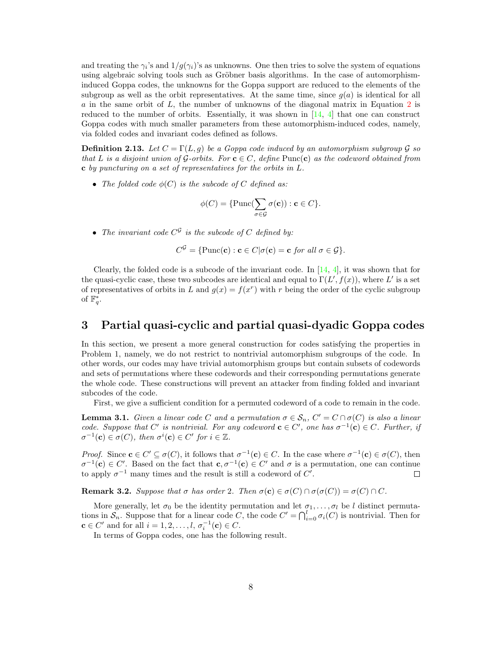<span id="page-7-0"></span>and treating the  $\gamma_i$ 's and  $1/g(\gamma_i)$ 's as unknowns. One then tries to solve the system of equations using algebraic solving tools such as Gröbner basis algorithms. In the case of automorphisminduced Goppa codes, the unknowns for the Goppa support are reduced to the elements of the subgroup as well as the orbit representatives. At the same time, since  $g(a)$  is identical for all  $a$  in the same orbit of  $L$ , the number of unknowns of the diagonal matrix in Equation [2](#page-3-2) is reduced to the number of orbits. Essentially, it was shown in [\[14,](#page-13-4) [4\]](#page-13-6) that one can construct Goppa codes with much smaller parameters from these automorphism-induced codes, namely, via folded codes and invariant codes defined as follows.

**Definition 2.13.** Let  $C = \Gamma(L, g)$  be a Goppa code induced by an automorphism subgroup G so that L is a disjoint union of G-orbits. For  $\mathbf{c} \in C$ , define Punc $(\mathbf{c})$  as the codeword obtained from c by puncturing on a set of representatives for the orbits in L.

• The folded code  $\phi(C)$  is the subcode of C defined as:

$$
\phi(C) = \{ \text{Punc}(\sum_{\sigma \in \mathcal{G}} \sigma(\mathbf{c})) : \mathbf{c} \in C \}.
$$

• The invariant code  $C^{\mathcal{G}}$  is the subcode of C defined by:

$$
C^{\mathcal{G}} = \{ \text{Punc}(\mathbf{c}) : \mathbf{c} \in C | \sigma(\mathbf{c}) = \mathbf{c} \text{ for all } \sigma \in \mathcal{G} \}.
$$

Clearly, the folded code is a subcode of the invariant code. In  $[14, 4]$  $[14, 4]$ , it was shown that for the quasi-cyclic case, these two subcodes are identical and equal to  $\Gamma(L', f(x))$ , where L' is a set of representatives of orbits in L and  $g(x) = f(x^r)$  with r being the order of the cyclic subgroup of  $\overline{\mathbb{F}_q^*}.$ 

## 3 Partial quasi-cyclic and partial quasi-dyadic Goppa codes

In this section, we present a more general construction for codes satisfying the properties in Problem 1, namely, we do not restrict to nontrivial automorphism subgroups of the code. In other words, our codes may have trivial automorphism groups but contain subsets of codewords and sets of permutations where these codewords and their corresponding permutations generate the whole code. These constructions will prevent an attacker from finding folded and invariant subcodes of the code.

First, we give a sufficient condition for a permuted codeword of a code to remain in the code.

**Lemma 3.1.** Given a linear code C and a permutation  $\sigma \in \mathcal{S}_n$ ,  $C' = C \cap \sigma(C)$  is also a linear code. Suppose that C' is nontrivial. For any codeword  $\mathbf{c} \in C'$ , one has  $\sigma^{-1}(\mathbf{c}) \in C$ . Further, if  $\sigma^{-1}(\mathbf{c}) \in \sigma(C)$ , then  $\sigma^i(\mathbf{c}) \in C'$  for  $i \in \mathbb{Z}$ .

Proof. Since  $\mathbf{c} \in C' \subseteq \sigma(C)$ , it follows that  $\sigma^{-1}(\mathbf{c}) \in C$ . In the case where  $\sigma^{-1}(\mathbf{c}) \in \sigma(C)$ , then  $\sigma^{-1}(\mathbf{c}) \in C'$ . Based on the fact that  $\mathbf{c}, \sigma^{-1}(\mathbf{c}) \in C'$  and  $\sigma$  is a permutation, one can continue to apply  $\sigma^{-1}$  many times and the result is still a codeword of  $C'$ .  $\Box$ 

**Remark 3.2.** Suppose that  $\sigma$  has order 2. Then  $\sigma(\mathbf{c}) \in \sigma(C) \cap \sigma(\sigma(C)) = \sigma(C) \cap C$ .

More generally, let  $\sigma_0$  be the identity permutation and let  $\sigma_1, \ldots, \sigma_l$  be l distinct permutations in  $S_n$ . Suppose that for a linear code C, the code  $C' = \bigcap_{i=0}^{l} \sigma_i(C)$  is nontrivial. Then for  $\mathbf{c} \in C'$  and for all  $i = 1, 2, \ldots, l, \sigma_i^{-1}(\mathbf{c}) \in C$ .

In terms of Goppa codes, one has the following result.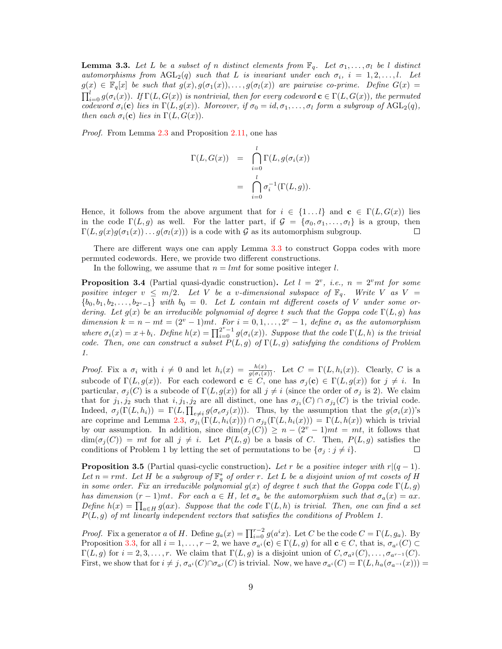<span id="page-8-0"></span>**Lemma 3.3.** Let L be a subset of n distinct elements from  $\mathbb{F}_q$ . Let  $\sigma_1, \ldots, \sigma_l$  be l distinct automorphisms from  $\text{AGL}_2(q)$  such that L is invariant under each  $\sigma_i$ ,  $i = 1, 2, \ldots, l$ . Let  $g(x) \in \mathbb{F}_q[x]$  be such that  $g(x), g(\sigma_1(x)), \ldots, g(\sigma_l(x))$  are pairwise co-prime. Define  $G(x) =$  $\prod_{i=0}^{l} g(\sigma_i(x))$ . If  $\Gamma(L, G(x))$  is nontrivial, then for every codeword  $\mathbf{c} \in \Gamma(L, G(x))$ , the permuted codeword  $\sigma_i(\mathbf{c})$  lies in  $\Gamma(L, g(x))$ . Moreover, if  $\sigma_0 = id, \sigma_1, \ldots, \sigma_l$  form a subgroup of  $\text{AGL}_2(q)$ , then each  $\sigma_i(\mathbf{c})$  lies in  $\Gamma(L, G(x))$ .

Proof. From Lemma [2.3](#page-3-3) and Proposition [2.11,](#page-4-1) one has

$$
\Gamma(L, G(x)) = \bigcap_{i=0}^{l} \Gamma(L, g(\sigma_i(x)))
$$

$$
= \bigcap_{i=0}^{l} \sigma_i^{-1}(\Gamma(L, g)).
$$

Hence, it follows from the above argument that for  $i \in \{1...l\}$  and  $c \in \Gamma(L, G(x))$  lies in the code  $\Gamma(L, g)$  as well. For the latter part, if  $\mathcal{G} = {\sigma_0, \sigma_1, \ldots, \sigma_l}$  is a group, then  $\Gamma(L, g(x)g(\sigma_1(x))\ldots g(\sigma_l(x)))$  is a code with G as its automorphism subgroup.  $\Box$ 

There are different ways one can apply Lemma [3.3](#page-8-0) to construct Goppa codes with more permuted codewords. Here, we provide two different constructions.

In the following, we assume that  $n = lmt$  for some positive integer l.

<span id="page-8-1"></span>**Proposition 3.4** (Partial quasi-dyadic construction). Let  $l = 2^v$ , *i.e.*,  $n = 2^v m t$  for some positive integer  $v \leq m/2$ . Let V be a v-dimensional subspace of  $\mathbb{F}_q$ . Write V as V =  ${b_0, b_1, b_2, \ldots, b_{2^v-1}}$  with  $b_0 = 0$ . Let L contain mt different cosets of V under some ordering. Let  $g(x)$  be an irreducible polynomial of degree t such that the Goppa code  $\Gamma(L,g)$  has dimension  $k = n - mt = (2^v - 1)mt$ . For  $i = 0, 1, ..., 2^v - 1$ , define  $\sigma_i$  as the automorphism where  $\sigma_i(x) = x + b_i$ . Define  $h(x) = \prod_{i=0}^{2^v-1} g(\sigma_i(x))$ . Suppose that the code  $\Gamma(L, h)$  is the trivial code. Then, one can construct a subset  $P(L, g)$  of  $\Gamma(L, g)$  satisfying the conditions of Problem 1.

*Proof.* Fix a  $\sigma_i$  with  $i \neq 0$  and let  $h_i(x) = \frac{h(x)}{g(\sigma_i(x))}$ . Let  $C = \Gamma(L, h_i(x))$ . Clearly, C is a subcode of  $\Gamma(L, g(x))$ . For each codeword  $\mathbf{c} \in C$ , one has  $\sigma_j(\mathbf{c}) \in \Gamma(L, g(x))$  for  $j \neq i$ . In particular,  $\sigma_j(C)$  is a subcode of  $\Gamma(L, g(x))$  for all  $j \neq i$  (since the order of  $\sigma_j$  is 2). We claim that for  $j_1, j_2$  such that  $i, j_1, j_2$  are all distinct, one has  $\sigma_{j_1}(C) \cap \sigma_{j_2}(C)$  is the trivial code. Indeed,  $\sigma_j(\Gamma(L, h_i)) = \Gamma(L, \prod_{e \neq i} g(\sigma_e \sigma_j(x)))$ . Thus, by the assumption that the  $g(\sigma_i(x))$ 's are coprime and Lemma [2.3,](#page-3-3)  $\sigma_{j_1}(\Gamma(L, h_i(x))) \cap \sigma_{j_2}(\Gamma(L, h_i(x))) = \Gamma(L, h(x))$  which is trivial by our assumption. In addition, since  $\dim(\sigma_i(C)) \geq n - (2^v - 1)mt = mt$ , it follows that  $\dim(\sigma_i(C)) = mt$  for all  $j \neq i$ . Let  $P(L, g)$  be a basis of C. Then,  $P(L, g)$  satisfies the conditions of Problem 1 by letting the set of permutations to be  $\{\sigma_j : j \neq i\}.$  $\Box$ 

<span id="page-8-2"></span>**Proposition 3.5** (Partial quasi-cyclic construction). Let r be a positive integer with  $r|(q-1)$ . Let  $n = rmt$ . Let H be a subgroup of  $\mathbb{F}_q^*$  of order r. Let L be a disjoint union of mt cosets of H in some order. Fix an irreducible polynomial  $g(x)$  of degree t such that the Goppa code  $\Gamma(L, g)$ has dimension  $(r-1)mt$ . For each  $a \in H$ , let  $\sigma_a$  be the automorphism such that  $\sigma_a(x) = ax$ . Define  $h(x) = \prod_{a \in H} g(ax)$ . Suppose that the code  $\Gamma(L, h)$  is trivial. Then, one can find a set  $P(L, g)$  of mt linearly independent vectors that satisfies the conditions of Problem 1.

*Proof.* Fix a generator a of H. Define  $g_a(x) = \prod_{i=0}^{r-2} g(a^i x)$ . Let C be the code  $C = \Gamma(L, g_a)$ . By Proposition [3.3,](#page-8-0) for all  $i = 1, \ldots, r-2$ , we have  $\sigma_{a^i}(\mathbf{c}) \in \Gamma(L, g)$  for all  $\mathbf{c} \in C$ , that is,  $\sigma_{a^i}(C) \subset$  $\Gamma(L,g)$  for  $i = 2,3,\ldots,r$ . We claim that  $\Gamma(L,g)$  is a disjoint union of  $C, \sigma_{a^2}(C),\ldots,\sigma_{a^{r-1}}(C)$ . First, we show that for  $i \neq j$ ,  $\sigma_{a^i}(C) \cap \sigma_{a^j}(C)$  is trivial. Now, we have  $\sigma_{a^i}(C) = \Gamma(L, h_a(\sigma_{a^{-i}}(x))) =$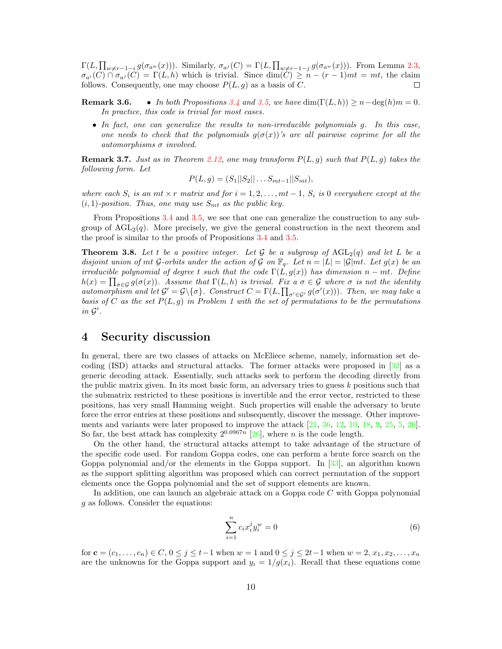<span id="page-9-4"></span> $\Gamma(L,\prod_{w\neq r-1-i}g(\sigma_{a^w}(x)))$ . Similarly,  $\sigma_{a^j}(C)=\Gamma(L,\prod_{w\neq r-1-j}g(\sigma_{a^w}(x)))$ . From Lemma [2.3,](#page-3-3)  $\sigma_{a^i}(C) \cap \sigma_{a^j}(C) = \Gamma(L, h)$  which is trivial. Since  $\dim(C) \geq n - (r-1)mt = mt$ , the claim follows. Consequently, one may choose  $P(L, g)$  as a basis of C.  $\Box$ 

- **Remark 3.6.** In both Propositions [3.4](#page-8-1) and [3.5,](#page-8-2) we have  $\dim(\Gamma(L, h)) \geq n \deg(h)m = 0$ . In practice, this code is trivial for most cases.
	- In fact, one can generalize the results to non-irreducible polynomials g. In this case, one needs to check that the polynomials  $g(\sigma(x))$ 's are all pairwise coprime for all the  $automorphisms \sigma$  involved.

<span id="page-9-2"></span>**Remark 3.7.** Just as in Theorem [2.12,](#page-6-0) one may transform  $P(L, g)$  such that  $P(L, g)$  takes the following form. Let

$$
P(L,g) = (S_1||S_2|| \dots S_{mt-1}||S_{mt}),
$$

where each  $S_i$  is an  $mt \times r$  matrix and for  $i = 1, 2, \ldots, mt - 1$ ,  $S_i$  is 0 everywhere except at the  $(i, 1)$ -position. Thus, one may use  $S_{mt}$  as the public key.

From Propositions [3.4](#page-8-1) and [3.5,](#page-8-2) we see that one can generalize the construction to any subgroup of  $\text{AGL}_2(q)$ . More precisely, we give the general construction in the next theorem and the proof is similar to the proofs of Propositions [3.4](#page-8-1) and [3.5.](#page-8-2)

<span id="page-9-0"></span>**Theorem 3.8.** Let t be a positive integer. Let G be a subgroup of  $\text{AGL}_2(q)$  and let L be a disjoint union of mt G-orbits under the action of G on  $\mathbb{F}_q$ . Let  $n = |L| = |\mathcal{G}|$ mt. Let  $g(x)$  be an irreducible polynomial of degree t such that the code  $\Gamma(L, g(x))$  has dimension n – mt. Define  $h(x) = \prod_{\sigma \in \mathcal{G}} g(\sigma(x))$ . Assume that  $\Gamma(L, h)$  is trivial. Fix a  $\sigma \in \mathcal{G}$  where  $\sigma$  is not the identity automorphism and let  $\mathcal{G}' = \mathcal{G} \setminus \{\sigma\}$ . Construct  $C = \Gamma(L, \prod_{\sigma' \in \mathcal{G}'} g(\sigma'(x)))$ . Then, we may take a basis of C as the set  $P(L, g)$  in Problem 1 with the set of permutations to be the permutations  $in G'.$ 

## <span id="page-9-3"></span>4 Security discussion

In general, there are two classes of attacks on McEliece scheme, namely, information set decoding (ISD) attacks and structural attacks. The former attacks were proposed in [\[32\]](#page-14-12) as a generic decoding attack. Essentially, such attacks seek to perform the decoding directly from the public matrix given. In its most basic form, an adversary tries to guess k positions such that the submatrix restricted to these positions is invertible and the error vector, restricted to these positions, has very small Hamming weight. Such properties will enable the adversary to brute force the error entries at these positions and subsequently, discover the message. Other improvements and variants were later proposed to improve the attack [\[21,](#page-14-13) [36,](#page-15-0) [12,](#page-13-10) [10,](#page-13-11) [18,](#page-14-14) [9,](#page-13-12) [25,](#page-14-15) [5,](#page-13-13) [26\]](#page-14-16). So far, the best attack has complexity  $2^{0.0967n}$  [\[26\]](#page-14-16), where *n* is the code length.

On the other hand, the structural attacks attempt to take advantage of the structure of the specific code used. For random Goppa codes, one can perform a brute force search on the Goppa polynomial and/or the elements in the Goppa support. In [\[33\]](#page-14-17), an algorithm known as the support splitting algorithm was proposed which can correct permutation of the support elements once the Goppa polynomial and the set of support elements are known.

In addition, one can launch an algebraic attack on a Goppa code C with Goppa polynomial g as follows. Consider the equations:

<span id="page-9-1"></span>
$$
\sum_{i=1}^{n} c_i x_i^j y_i^w = 0
$$
\n(6)

for  $\mathbf{c} = (c_1, \ldots, c_n) \in C$ ,  $0 \leq j \leq t-1$  when  $w = 1$  and  $0 \leq j \leq 2t-1$  when  $w = 2, x_1, x_2, \ldots, x_n$ are the unknowns for the Goppa support and  $y_i = 1/g(x_i)$ . Recall that these equations come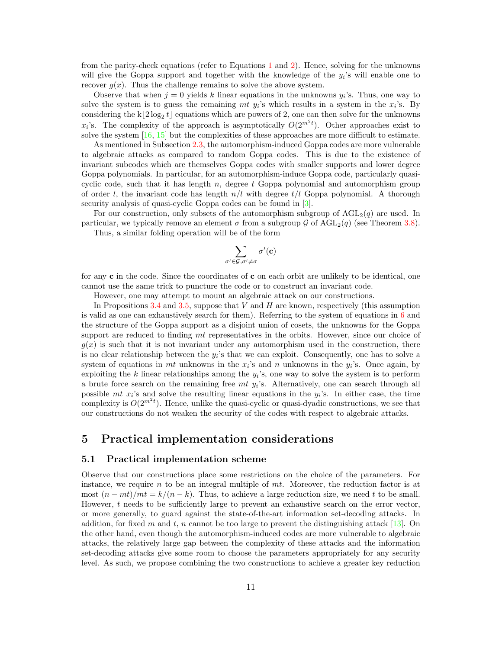<span id="page-10-0"></span>from the parity-check equations (refer to Equations [1](#page-3-1) and [2\)](#page-3-2). Hence, solving for the unknowns will give the Goppa support and together with the knowledge of the  $y_i$ 's will enable one to recover  $g(x)$ . Thus the challenge remains to solve the above system.

Observe that when  $j = 0$  yields k linear equations in the unknowns  $y_i$ 's. Thus, one way to solve the system is to guess the remaining  $mt$   $y_i$ 's which results in a system in the  $x_i$ 's. By considering the  $k\lfloor 2\log_2 t\rfloor$  equations which are powers of 2, one can then solve for the unknowns  $x_i$ 's. The complexity of the approach is asymptotically  $O(2^{m^2t})$ . Other approaches exist to solve the system [\[16,](#page-13-7) [15\]](#page-13-5) but the complexities of these approaches are more difficult to estimate.

As mentioned in Subsection [2.3,](#page-5-0) the automorphism-induced Goppa codes are more vulnerable to algebraic attacks as compared to random Goppa codes. This is due to the existence of invariant subcodes which are themselves Goppa codes with smaller supports and lower degree Goppa polynomials. In particular, for an automorphism-induce Goppa code, particularly quasicyclic code, such that it has length  $n$ , degree  $t$  Goppa polynomial and automorphism group of order l, the invariant code has length  $n/l$  with degree  $t/l$  Goppa polynomial. A thorough security analysis of quasi-cyclic Goppa codes can be found in [\[3\]](#page-13-1).

For our construction, only subsets of the automorphism subgroup of  $\text{AGL}_2(q)$  are used. In particular, we typically remove an element  $\sigma$  from a subgroup  $\mathcal G$  of AGL<sub>2</sub>(q) (see Theorem [3.8\)](#page-9-0).

Thus, a similar folding operation will be of the form

$$
\sum_{\sigma'\in\mathcal{G},\sigma'\neq\sigma}\sigma'(\mathbf{c})
$$

for any  $c$  in the code. Since the coordinates of  $c$  on each orbit are unlikely to be identical, one cannot use the same trick to puncture the code or to construct an invariant code.

However, one may attempt to mount an algebraic attack on our constructions.

In Propositions  $3.4$  and  $3.5$ , suppose that V and H are known, respectively (this assumption is valid as one can exhaustively search for them). Referring to the system of equations in  $6$  and the structure of the Goppa support as a disjoint union of cosets, the unknowns for the Goppa support are reduced to finding mt representatives in the orbits. However, since our choice of  $g(x)$  is such that it is not invariant under any automorphism used in the construction, there is no clear relationship between the  $y_i$ 's that we can exploit. Consequently, one has to solve a system of equations in  $mt$  unknowns in the  $x_i$ 's and n unknowns in the  $y_i$ 's. Once again, by exploiting the  $k$  linear relationships among the  $y_i$ 's, one way to solve the system is to perform a brute force search on the remaining free  $mt$   $y_i$ 's. Alternatively, one can search through all possible  $mt$   $x_i$ 's and solve the resulting linear equations in the  $y_i$ 's. In either case, the time complexity is  $O(2^{m^2t})$ . Hence, unlike the quasi-cyclic or quasi-dyadic constructions, we see that our constructions do not weaken the security of the codes with respect to algebraic attacks.

## 5 Practical implementation considerations

## 5.1 Practical implementation scheme

Observe that our constructions place some restrictions on the choice of the parameters. For instance, we require  $n$  to be an integral multiple of  $mt$ . Moreover, the reduction factor is at most  $(n - mt)/mt = k/(n - k)$ . Thus, to achieve a large reduction size, we need t to be small. However,  $t$  needs to be sufficiently large to prevent an exhaustive search on the error vector, or more generally, to guard against the state-of-the-art information set-decoding attacks. In addition, for fixed m and t, n cannot be too large to prevent the distinguishing attack [\[13\]](#page-13-14). On the other hand, even though the automorphism-induced codes are more vulnerable to algebraic attacks, the relatively large gap between the complexity of these attacks and the information set-decoding attacks give some room to choose the parameters appropriately for any security level. As such, we propose combining the two constructions to achieve a greater key reduction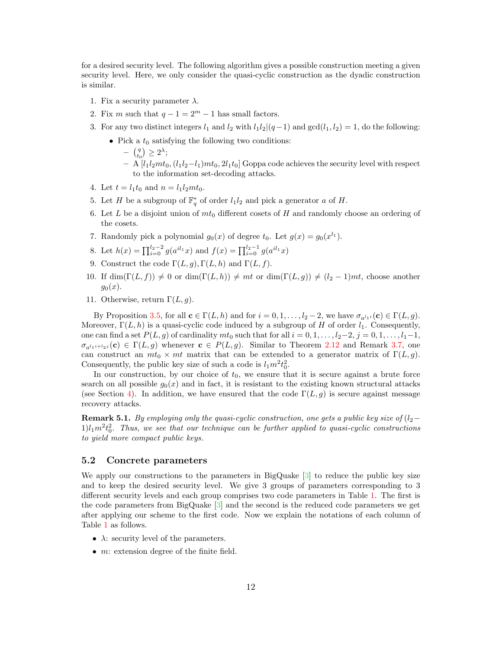<span id="page-11-0"></span>for a desired security level. The following algorithm gives a possible construction meeting a given security level. Here, we only consider the quasi-cyclic construction as the dyadic construction is similar.

- 1. Fix a security parameter  $\lambda$ .
- 2. Fix m such that  $q 1 = 2^m 1$  has small factors.
- 3. For any two distinct integers  $l_1$  and  $l_2$  with  $l_1l_2|(q-1)$  and  $gcd(l_1, l_2) = 1$ , do the following:
	- Pick a  $t_0$  satisfying the following two conditions:  $\binom{q}{t_0} \geq 2^{\lambda};$  $- A [l_1l_2mt_0, (l_1l_2-l_1)mt_0, 2l_1t_0]$  Goppa code achieves the security level with respect to the information set-decoding attacks.
- 4. Let  $t = l_1t_0$  and  $n = l_1l_2mt_0$ .
- 5. Let H be a subgroup of  $\mathbb{F}_q^*$  of order  $l_1l_2$  and pick a generator a of H.
- 6. Let L be a disjoint union of  $mt_0$  different cosets of H and randomly choose an ordering of the cosets.
- 7. Randomly pick a polynomial  $g_0(x)$  of degree  $t_0$ . Let  $g(x) = g_0(x^{l_1})$ .
- 8. Let  $h(x) = \prod_{i=0}^{l_2-2} g(a^{il_1}x)$  and  $f(x) = \prod_{i=0}^{l_2-1} g(a^{il_1}x)$
- 9. Construct the code  $\Gamma(L, q), \Gamma(L, h)$  and  $\Gamma(L, f)$ .
- 10. If  $\dim(\Gamma(L, f)) \neq 0$  or  $\dim(\Gamma(L, h)) \neq mt$  or  $\dim(\Gamma(L, g)) \neq (l_2 1)mt$ , choose another  $g_0(x)$ .
- 11. Otherwise, return  $\Gamma(L, g)$ .

By Proposition [3.5,](#page-8-2) for all  $\mathbf{c} \in \Gamma(L, h)$  and for  $i = 0, 1, \ldots, l_2 - 2$ , we have  $\sigma_{a^{l_1 i}}(\mathbf{c}) \in \Gamma(L, g)$ . Moreover,  $\Gamma(L, h)$  is a quasi-cyclic code induced by a subgroup of H of order  $l_1$ . Consequently, one can find a set  $P(L, g)$  of cardinality mt<sub>0</sub> such that for all  $i = 0, 1, \ldots, l_2-2, j = 0, 1, \ldots, l_1-1$ ,  $\sigma_{a^{l_1+i+l_2j}}(\mathbf{c}) \in \Gamma(L,g)$  whenever  $\mathbf{c} \in P(L,g)$ . Similar to Theorem [2.12](#page-6-0) and Remark [3.7,](#page-9-2) one can construct an  $mt_0 \times mt$  matrix that can be extended to a generator matrix of  $\Gamma(L, g)$ . Consequently, the public key size of such a code is  $l_1m^2t_0^2$ .

In our construction, by our choice of  $t_0$ , we ensure that it is secure against a brute force search on all possible  $g_0(x)$  and in fact, it is resistant to the existing known structural attacks (see Section [4\)](#page-9-3). In addition, we have ensured that the code  $\Gamma(L, q)$  is secure against message recovery attacks.

**Remark 5.1.** By employing only the quasi-cyclic construction, one gets a public key size of  $(l_2 1)$ l<sub>1</sub> $m<sup>2</sup>t<sub>0</sub><sup>2</sup>$ . Thus, we see that our technique can be further applied to quasi-cyclic constructions to yield more compact public keys.

#### 5.2 Concrete parameters

We apply our constructions to the parameters in BigQuake  $\lceil 3 \rceil$  to reduce the public key size and to keep the desired security level. We give 3 groups of parameters corresponding to 3 different security levels and each group comprises two code parameters in Table [1.](#page-12-2) The first is the code parameters from BigQuake [\[3\]](#page-13-1) and the second is the reduced code parameters we get after applying our scheme to the first code. Now we explain the notations of each column of Table [1](#page-12-2) as follows.

- $\lambda$ : security level of the parameters.
- $\bullet$  m: extension degree of the finite field.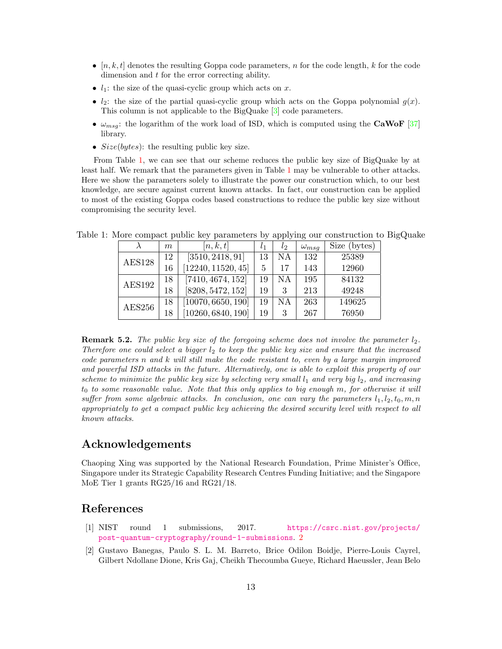- <span id="page-12-3"></span>•  $[n, k, t]$  denotes the resulting Goppa code parameters, n for the code length, k for the code dimension and t for the error correcting ability.
- $l_1$ : the size of the quasi-cyclic group which acts on x.
- $l_2$ : the size of the partial quasi-cyclic group which acts on the Goppa polynomial  $q(x)$ . This column is not applicable to the BigQuake [\[3\]](#page-13-1) code parameters.
- $\omega_{msg}$ : the logarithm of the work load of ISD, which is computed using the CaWoF [\[37\]](#page-15-1) library.
- $Size(butes)$ : the resulting public key size.

From Table [1,](#page-12-2) we can see that our scheme reduces the public key size of BigQuake by at least half. We remark that the parameters given in Table [1](#page-12-2) may be vulnerable to other attacks. Here we show the parameters solely to illustrate the power our construction which, to our best knowledge, are secure against current known attacks. In fact, our construction can be applied to most of the existing Goppa codes based constructions to reduce the public key size without compromising the security level.

<span id="page-12-2"></span>

|               | $m\,$ | [n,k,t]            | l <sub>1</sub> | $l_2$ | $\omega_{msq}$ | Size (bytes) |
|---------------|-------|--------------------|----------------|-------|----------------|--------------|
| <b>AES128</b> | 12    | [3510, 2418, 91]   | 13             | NA.   | 132            | 25389        |
|               | 16    | [12240, 11520, 45] | 5              | 17    | 143            | 12960        |
| <b>AES192</b> | 18    | [7410, 4674, 152]  | 19             | ΝA    | 195            | 84132        |
|               | 18    | [8208, 5472, 152]  | 19             | 3     | 213            | 49248        |
| AES256        | 18    | [10070, 6650, 190] | 19             | NΑ    | 263            | 149625       |
|               | 18    | [10260, 6840, 190] | 19             | 3     | 267            | 76950        |

Table 1: More compact public key parameters by applying our construction to BigQuake

**Remark 5.2.** The public key size of the foregoing scheme does not involve the parameter  $l_2$ . Therefore one could select a bigger  $l_2$  to keep the public key size and ensure that the increased  $code$  parameters n and k will still make the code resistant to, even by a large margin improved and powerful ISD attacks in the future. Alternatively, one is able to exploit this property of our scheme to minimize the public key size by selecting very small  $l_1$  and very big  $l_2$ , and increasing  $t_0$  to some reasonable value. Note that this only applies to big enough m, for otherwise it will suffer from some algebraic attacks. In conclusion, one can vary the parameters  $l_1, l_2, t_0, m, n$ appropriately to get a compact public key achieving the desired security level with respect to all known attacks.

## Acknowledgements

Chaoping Xing was supported by the National Research Foundation, Prime Minister's Office, Singapore under its Strategic Capability Research Centres Funding Initiative; and the Singapore MoE Tier 1 grants RG25/16 and RG21/18.

## <span id="page-12-0"></span>References

- [1] NIST round 1 submissions, 2017. [https://csrc.nist.gov/projects/](https://csrc.nist.gov/projects/post-quantum-cryptography/round-1-submissions) [post-quantum-cryptography/round-1-submissions](https://csrc.nist.gov/projects/post-quantum-cryptography/round-1-submissions). [2](#page-1-0)
- <span id="page-12-1"></span>[2] Gustavo Banegas, Paulo S. L. M. Barreto, Brice Odilon Boidje, Pierre-Louis Cayrel, Gilbert Ndollane Dione, Kris Gaj, Cheikh Thecoumba Gueye, Richard Haeussler, Jean Belo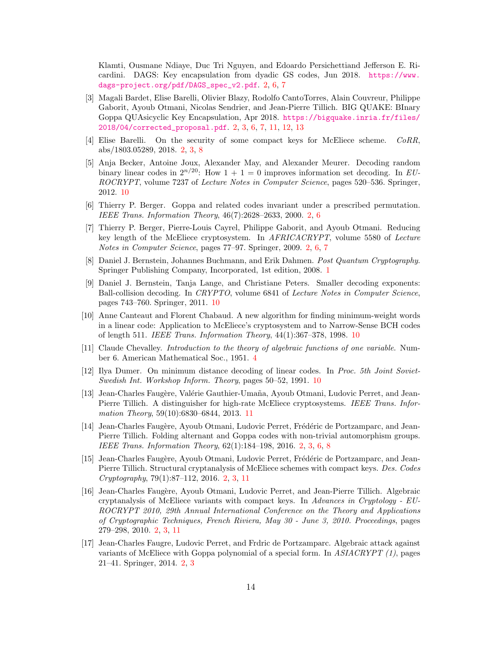Klamti, Ousmane Ndiaye, Duc Tri Nguyen, and Edoardo Persichettiand Jefferson E. Ricardini. DAGS: Key encapsulation from dyadic GS codes, Jun 2018. [https://www.](https://www.dags-project.org/pdf/DAGS_spec_v2.pdf) [dags-project.org/pdf/DAGS\\_spec\\_v2.pdf](https://www.dags-project.org/pdf/DAGS_spec_v2.pdf). [2,](#page-1-0) [6,](#page-5-1) [7](#page-6-1)

- <span id="page-13-1"></span>[3] Magali Bardet, Elise Barelli, Olivier Blazy, Rodolfo CantoTorres, Alain Couvreur, Philippe Gaborit, Ayoub Otmani, Nicolas Sendrier, and Jean-Pierre Tillich. BIG QUAKE: BInary Goppa QUAsicyclic Key Encapsulation, Apr 2018. [https://bigquake.inria.fr/files/](https://bigquake.inria.fr/files/2018/04/corrected_proposal.pdf) [2018/04/corrected\\_proposal.pdf](https://bigquake.inria.fr/files/2018/04/corrected_proposal.pdf). [2,](#page-1-0) [3,](#page-2-0) [6,](#page-5-1) [7,](#page-6-1) [11,](#page-10-0) [12,](#page-11-0) [13](#page-12-3)
- <span id="page-13-6"></span>[4] Elise Barelli. On the security of some compact keys for McEliece scheme. CoRR, abs/1803.05289, 2018. [2,](#page-1-0) [3,](#page-2-0) [8](#page-7-0)
- <span id="page-13-13"></span>[5] Anja Becker, Antoine Joux, Alexander May, and Alexander Meurer. Decoding random binary linear codes in  $2^{n/20}$ : How  $1 + 1 = 0$  improves information set decoding. In EU-ROCRYPT, volume 7237 of Lecture Notes in Computer Science, pages 520–536. Springer, 2012. [10](#page-9-4)
- <span id="page-13-3"></span>[6] Thierry P. Berger. Goppa and related codes invariant under a prescribed permutation. IEEE Trans. Information Theory, 46(7):2628–2633, 2000. [2,](#page-1-0) [6](#page-5-1)
- <span id="page-13-2"></span>[7] Thierry P. Berger, Pierre-Louis Cayrel, Philippe Gaborit, and Ayoub Otmani. Reducing key length of the McEliece cryptosystem. In AFRICACRYPT, volume 5580 of Lecture Notes in Computer Science, pages 77–97. Springer, 2009. [2,](#page-1-0) [6,](#page-5-1) [7](#page-6-1)
- <span id="page-13-0"></span>[8] Daniel J. Bernstein, Johannes Buchmann, and Erik Dahmen. Post Quantum Cryptography. Springer Publishing Company, Incorporated, 1st edition, 2008. [1](#page-0-0)
- <span id="page-13-12"></span>[9] Daniel J. Bernstein, Tanja Lange, and Christiane Peters. Smaller decoding exponents: Ball-collision decoding. In CRYPTO, volume 6841 of Lecture Notes in Computer Science, pages 743–760. Springer, 2011. [10](#page-9-4)
- <span id="page-13-11"></span>[10] Anne Canteaut and Florent Chabaud. A new algorithm for finding minimum-weight words in a linear code: Application to McEliece's cryptosystem and to Narrow-Sense BCH codes of length 511. IEEE Trans. Information Theory, 44(1):367–378, 1998. [10](#page-9-4)
- <span id="page-13-9"></span>[11] Claude Chevalley. Introduction to the theory of algebraic functions of one variable. Number 6. American Mathematical Soc., 1951. [4](#page-3-4)
- <span id="page-13-10"></span>[12] Ilya Dumer. On minimum distance decoding of linear codes. In Proc. 5th Joint Soviet-Swedish Int. Workshop Inform. Theory, pages 50–52, 1991. [10](#page-9-4)
- <span id="page-13-14"></span>[13] Jean-Charles Faugère, Valérie Gauthier-Umaña, Ayoub Otmani, Ludovic Perret, and Jean-Pierre Tillich. A distinguisher for high-rate McEliece cryptosystems. IEEE Trans. Infor-mation Theory, 59(10):6830–6844, 2013. [11](#page-10-0)
- <span id="page-13-4"></span>[14] Jean-Charles Faugère, Ayoub Otmani, Ludovic Perret, Frédéric de Portzamparc, and Jean-Pierre Tillich. Folding alternant and Goppa codes with non-trivial automorphism groups. IEEE Trans. Information Theory, 62(1):184–198, 2016. [2,](#page-1-0) [3,](#page-2-0) [6,](#page-5-1) [8](#page-7-0)
- <span id="page-13-5"></span>[15] Jean-Charles Faugère, Ayoub Otmani, Ludovic Perret, Frédéric de Portzamparc, and Jean-Pierre Tillich. Structural cryptanalysis of McEliece schemes with compact keys. Des. Codes Cryptography, 79(1):87–112, 2016. [2,](#page-1-0) [3,](#page-2-0) [11](#page-10-0)
- <span id="page-13-7"></span>[16] Jean-Charles Faugère, Ayoub Otmani, Ludovic Perret, and Jean-Pierre Tillich. Algebraic cryptanalysis of McEliece variants with compact keys. In Advances in Cryptology - EU-ROCRYPT 2010, 29th Annual International Conference on the Theory and Applications of Cryptographic Techniques, French Riviera, May 30 - June 3, 2010. Proceedings, pages 279–298, 2010. [2,](#page-1-0) [3,](#page-2-0) [11](#page-10-0)
- <span id="page-13-8"></span>[17] Jean-Charles Faugre, Ludovic Perret, and Frdric de Portzamparc. Algebraic attack against variants of McEliece with Goppa polynomial of a special form. In  $ASIACRYPT$  (1), pages 21–41. Springer, 2014. [2,](#page-1-0) [3](#page-2-0)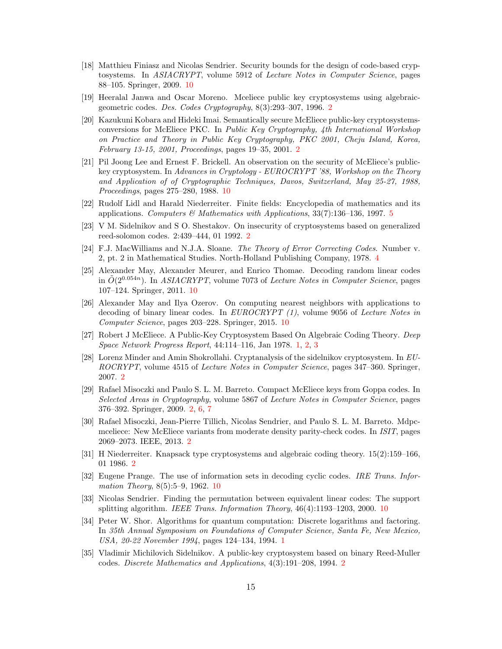- <span id="page-14-14"></span>[18] Matthieu Finiasz and Nicolas Sendrier. Security bounds for the design of code-based cryptosystems. In ASIACRYPT, volume 5912 of Lecture Notes in Computer Science, pages 88–105. Springer, 2009. [10](#page-9-4)
- <span id="page-14-4"></span>[19] Heeralal Janwa and Oscar Moreno. Mceliece public key cryptosystems using algebraicgeometric codes. Des. Codes Cryptography,  $8(3):293-307$  $8(3):293-307$  $8(3):293-307$ , 1996. 2
- <span id="page-14-3"></span>[20] Kazukuni Kobara and Hideki Imai. Semantically secure McEliece public-key cryptosystemsconversions for McEliece PKC. In Public Key Cryptography, 4th International Workshop on Practice and Theory in Public Key Cryptography, PKC 2001, Cheju Island, Korea, February 13-15, 2001, Proceedings, pages 19–35, 2001. [2](#page-1-0)
- <span id="page-14-13"></span>[21] Pil Joong Lee and Ernest F. Brickell. An observation on the security of McEliece's publickey cryptosystem. In Advances in Cryptology - EUROCRYPT '88, Workshop on the Theory and Application of of Cryptographic Techniques, Davos, Switzerland, May 25-27, 1988, Proceedings, pages 275–280, 1988. [10](#page-9-4)
- <span id="page-14-11"></span>[22] Rudolf Lidl and Harald Niederreiter. Finite fields: Encyclopedia of mathematics and its applications. Computers & Mathematics with Applications,  $33(7)$ :136–136, 1997. [5](#page-4-2)
- <span id="page-14-8"></span>[23] V M. Sidelnikov and S O. Shestakov. On insecurity of cryptosystems based on generalized reed-solomon codes. 2:439–444, 01 1992. [2](#page-1-0)
- <span id="page-14-10"></span>[24] F.J. MacWilliams and N.J.A. Sloane. The Theory of Error Correcting Codes. Number v. 2, pt. 2 in Mathematical Studies. North-Holland Publishing Company, 1978. [4](#page-3-4)
- <span id="page-14-15"></span>[25] Alexander May, Alexander Meurer, and Enrico Thomae. Decoding random linear codes in  $O(2^{0.054n})$ . In ASIACRYPT, volume 7073 of Lecture Notes in Computer Science, pages 107–124. Springer, 2011. [10](#page-9-4)
- <span id="page-14-16"></span>[26] Alexander May and Ilya Ozerov. On computing nearest neighbors with applications to decoding of binary linear codes. In EUROCRYPT (1), volume 9056 of Lecture Notes in Computer Science, pages 203–228. Springer, 2015. [10](#page-9-4)
- <span id="page-14-1"></span>[27] Robert J McEliece. A Public-Key Cryptosystem Based On Algebraic Coding Theory. Deep Space Network Progress Report, 44:114–116, Jan 1978. [1,](#page-0-0) [2,](#page-1-0) [3](#page-2-0)
- <span id="page-14-7"></span>[28] Lorenz Minder and Amin Shokrollahi. Cryptanalysis of the sidelnikov cryptosystem. In EU-ROCRYPT, volume 4515 of Lecture Notes in Computer Science, pages 347–360. Springer, 2007. [2](#page-1-0)
- <span id="page-14-9"></span>[29] Rafael Misoczki and Paulo S. L. M. Barreto. Compact McEliece keys from Goppa codes. In Selected Areas in Cryptography, volume 5867 of Lecture Notes in Computer Science, pages 376–392. Springer, 2009. [2,](#page-1-0) [6,](#page-5-1) [7](#page-6-1)
- <span id="page-14-6"></span>[30] Rafael Misoczki, Jean-Pierre Tillich, Nicolas Sendrier, and Paulo S. L. M. Barreto. Mdpcmceliece: New McEliece variants from moderate density parity-check codes. In ISIT, pages 2069–2073. IEEE, 2013. [2](#page-1-0)
- <span id="page-14-2"></span>[31] H Niederreiter. Knapsack type cryptosystems and algebraic coding theory. 15(2):159–166, 01 1986. [2](#page-1-0)
- <span id="page-14-12"></span>[32] Eugene Prange. The use of information sets in decoding cyclic codes. IRE Trans. Infor-mation Theory, 8(5):5–9, 1962. [10](#page-9-4)
- <span id="page-14-17"></span>[33] Nicolas Sendrier. Finding the permutation between equivalent linear codes: The support splitting algorithm. IEEE Trans. Information Theory, 46(4):1193–1203, 2000. [10](#page-9-4)
- <span id="page-14-0"></span>[34] Peter W. Shor. Algorithms for quantum computation: Discrete logarithms and factoring. In 35th Annual Symposium on Foundations of Computer Science, Santa Fe, New Mexico, USA, 20-22 November 1994, pages 124–134, 1994. [1](#page-0-0)
- <span id="page-14-5"></span>[35] Vladimir Michilovich Sidelnikov. A public-key cryptosystem based on binary Reed-Muller codes. Discrete Mathematics and Applications, 4(3):191–208, 1994. [2](#page-1-0)